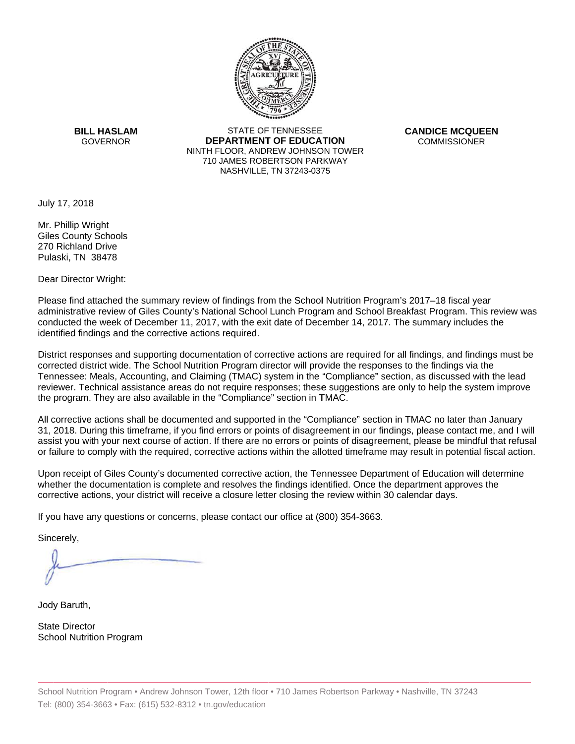

**BILL HASLAM** GOVERNOR **DEI** 

STATE OF TENNESSEE **EPARTMENT OF EDUCATION** NINTH FLOOR, ANDREW JOHNSON TOWER 710 JAMES ROBERTSON PARKWAY NASHVILLE,TN 37243-0375

**CANDICE MCQUEEN** CO OMMISSIONER

July 17, 2018

Mr. Phillip Wright Giles County Schools 270 Richland Drive Pulaski, TN 38478

Dear Director Wright:

Please find attached the summary review of findings from the School Nutrition Program's 2017–18 fiscal year administrative review of Giles County's National School Lunch Program and School Breakfast Program. This review was conducted the week of December 11, 2017, with the exit date of December 14, 2017. The summary includes the identified findings and the corrective actions required.

Tennessee: Meals, Accounting, and Claiming (TMAC) system in the "Compliance" section, as discussed with the lead District responses and supporting documentation of corrective actions are required for all findings, and findings must be corrected district wide. The School Nutrition Program director will provide the responses to the findings via the reviewer. Technical assistance areas do not require responses; these suggestions are only to help the system improve the program. They are also available in the "Compliance" section in TMAC.

All corrective actions shall be documented and supported in the "Compliance" section in TMAC no later than January 31, 2018. During this timeframe, if you find errors or points of disagreement in our findings, please contact me, and I will assist you with your next course of action. If there are no errors or points of disagreement, please be mindful that refusal or failure to comply with the required, corrective actions within the allotted timeframe may result in potential fiscal action.

Upon receipt of Giles County's documented corrective action, the Tennessee Department of Education will determine whether the documentation is complete and resolves the findings identified. Once the department approves the corrective actions, your district will receive a closure letter closing the review within 30 calendar days.

If you have any questions or concerns, please contact our office at (800) 354-3663.

Sincerely,

Jody Baruth,

State Director School Nutrition Program